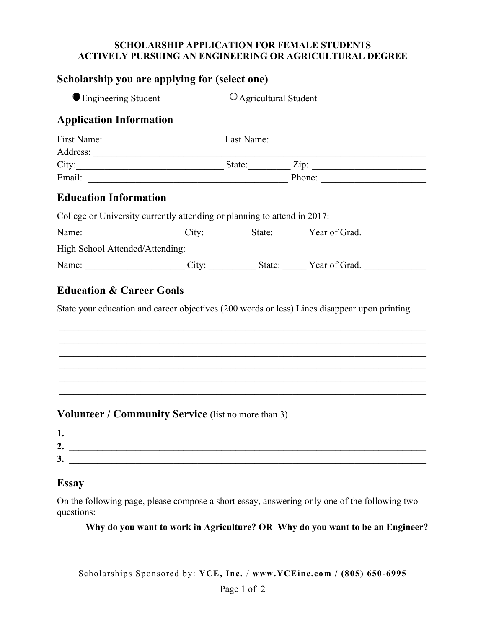## **SCHOLARSHIP APPLICATION FOR FEMALE STUDENTS ACTIVELY PURSUING AN ENGINEERING OR AGRICULTURAL DEGREE**

| Scholarship you are applying for (select one)                            |  |                                      |  |                                                                                               |
|--------------------------------------------------------------------------|--|--------------------------------------|--|-----------------------------------------------------------------------------------------------|
| ● Engineering Student                                                    |  | O Agricultural Student               |  |                                                                                               |
| <b>Application Information</b>                                           |  |                                      |  |                                                                                               |
|                                                                          |  |                                      |  |                                                                                               |
|                                                                          |  | $City:$ $City:$ $Zip:$ $Zip:$ $\Box$ |  |                                                                                               |
| <b>Education Information</b>                                             |  |                                      |  |                                                                                               |
| College or University currently attending or planning to attend in 2017: |  |                                      |  |                                                                                               |
|                                                                          |  |                                      |  | Name: City: City: State: Year of Grad.                                                        |
| High School Attended/Attending:                                          |  |                                      |  |                                                                                               |
|                                                                          |  |                                      |  | Name: City: City: State: Year of Grad.                                                        |
| <b>Education &amp; Career Goals</b>                                      |  |                                      |  |                                                                                               |
|                                                                          |  |                                      |  | State your education and career objectives (200 words or less) Lines disappear upon printing. |
|                                                                          |  |                                      |  |                                                                                               |
|                                                                          |  |                                      |  | <u> 1989 - Johann Stoff, amerikansk politiker (d. 1989)</u>                                   |
|                                                                          |  |                                      |  | ,我们也不能在这里的人,我们也不能在这里的人,我们也不能在这里的人,我们也不能在这里的人,我们也不能在这里的人,我们也不能在这里的人,我们也不能在这里的人,我们也             |
| <b>Volunteer / Community Service</b> (list no more than 3)               |  |                                      |  |                                                                                               |

## **Essay**

On the following page, please compose a short essay, answering only one of the following two questions:

**2. \_\_\_\_\_\_\_\_\_\_\_\_\_\_\_\_\_\_\_\_\_\_\_\_\_\_\_\_\_\_\_\_\_\_\_\_\_\_\_\_\_\_\_\_\_\_\_\_\_\_\_\_\_\_\_\_\_\_\_\_\_\_\_\_\_\_\_\_\_\_\_\_\_\_\_** 

**3.**  $\blacksquare$ 

 **Why do you want to work in Agriculture? OR Why do you want to be an Engineer?**